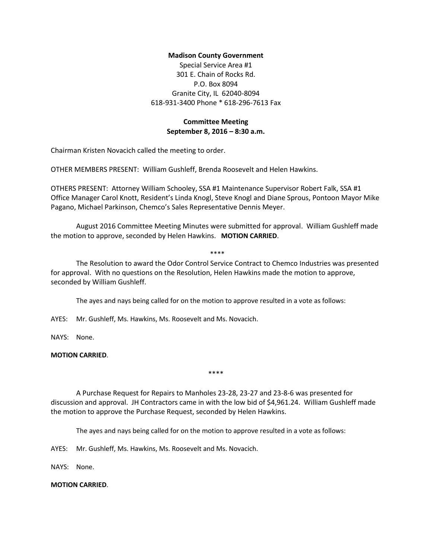### **Madison County Government**

Special Service Area #1 301 E. Chain of Rocks Rd. P.O. Box 8094 Granite City, IL 62040-8094 618-931-3400 Phone \* 618-296-7613 Fax

## **Committee Meeting September 8, 2016 – 8:30 a.m.**

Chairman Kristen Novacich called the meeting to order.

OTHER MEMBERS PRESENT: William Gushleff, Brenda Roosevelt and Helen Hawkins.

OTHERS PRESENT: Attorney William Schooley, SSA #1 Maintenance Supervisor Robert Falk, SSA #1 Office Manager Carol Knott, Resident's Linda Knogl, Steve Knogl and Diane Sprous, Pontoon Mayor Mike Pagano, Michael Parkinson, Chemco's Sales Representative Dennis Meyer.

August 2016 Committee Meeting Minutes were submitted for approval. William Gushleff made the motion to approve, seconded by Helen Hawkins. **MOTION CARRIED**.

\*\*\*\*

# The Resolution to award the Odor Control Service Contract to Chemco Industries was presented for approval. With no questions on the Resolution, Helen Hawkins made the motion to approve, seconded by William Gushleff.

The ayes and nays being called for on the motion to approve resulted in a vote as follows:

AYES: Mr. Gushleff, Ms. Hawkins, Ms. Roosevelt and Ms. Novacich.

NAYS: None.

### **MOTION CARRIED**.

\*\*\*\*

A Purchase Request for Repairs to Manholes 23-28, 23-27 and 23-8-6 was presented for discussion and approval. JH Contractors came in with the low bid of \$4,961.24. William Gushleff made the motion to approve the Purchase Request, seconded by Helen Hawkins.

The ayes and nays being called for on the motion to approve resulted in a vote as follows:

AYES: Mr. Gushleff, Ms. Hawkins, Ms. Roosevelt and Ms. Novacich.

NAYS: None.

## **MOTION CARRIED**.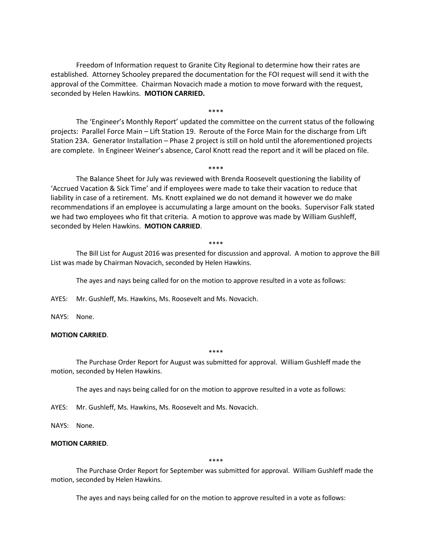Freedom of Information request to Granite City Regional to determine how their rates are established. Attorney Schooley prepared the documentation for the FOI request will send it with the approval of the Committee. Chairman Novacich made a motion to move forward with the request, seconded by Helen Hawkins. **MOTION CARRIED.**

The 'Engineer's Monthly Report' updated the committee on the current status of the following projects: Parallel Force Main – Lift Station 19. Reroute of the Force Main for the discharge from Lift Station 23A. Generator Installation – Phase 2 project is still on hold until the aforementioned projects are complete. In Engineer Weiner's absence, Carol Knott read the report and it will be placed on file.

\*\*\*\*

\*\*\*\*

# The Balance Sheet for July was reviewed with Brenda Roosevelt questioning the liability of 'Accrued Vacation & Sick Time' and if employees were made to take their vacation to reduce that liability in case of a retirement. Ms. Knott explained we do not demand it however we do make recommendations if an employee is accumulating a large amount on the books. Supervisor Falk stated we had two employees who fit that criteria. A motion to approve was made by William Gushleff, seconded by Helen Hawkins. **MOTION CARRIED**.

#### \*\*\*\*

The Bill List for August 2016 was presented for discussion and approval. A motion to approve the Bill List was made by Chairman Novacich, seconded by Helen Hawkins.

The ayes and nays being called for on the motion to approve resulted in a vote as follows:

AYES: Mr. Gushleff, Ms. Hawkins, Ms. Roosevelt and Ms. Novacich.

NAYS: None.

### **MOTION CARRIED**.

\*\*\*\*

The Purchase Order Report for August was submitted for approval. William Gushleff made the motion, seconded by Helen Hawkins.

The ayes and nays being called for on the motion to approve resulted in a vote as follows:

AYES: Mr. Gushleff, Ms. Hawkins, Ms. Roosevelt and Ms. Novacich.

NAYS: None.

### **MOTION CARRIED**.

\*\*\*\*

The Purchase Order Report for September was submitted for approval. William Gushleff made the motion, seconded by Helen Hawkins.

The ayes and nays being called for on the motion to approve resulted in a vote as follows: